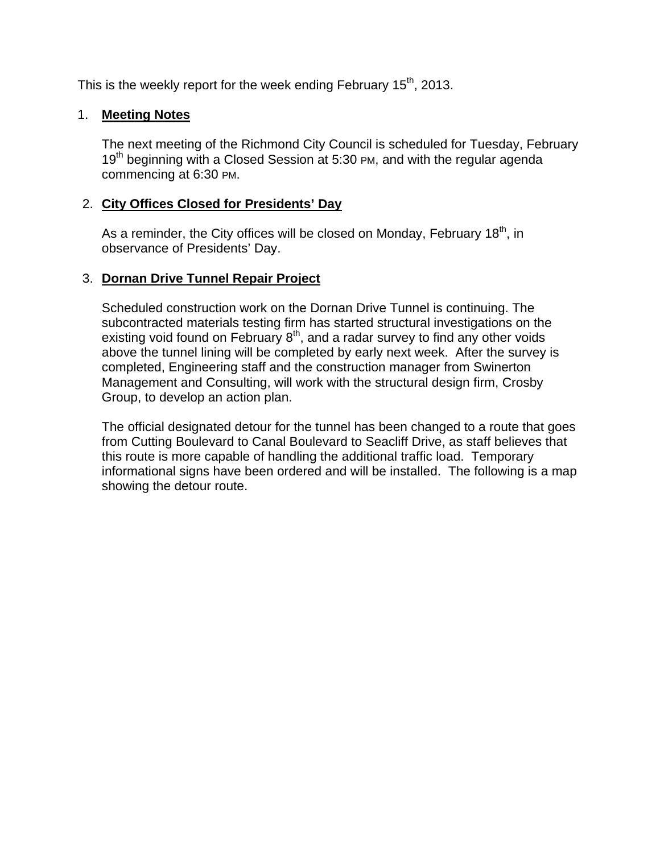This is the weekly report for the week ending February  $15<sup>th</sup>$ , 2013.

### 1. **Meeting Notes**

The next meeting of the Richmond City Council is scheduled for Tuesday, February 19<sup>th</sup> beginning with a Closed Session at 5:30 PM, and with the regular agenda commencing at 6:30 PM.

### 2. **City Offices Closed for Presidents' Day**

As a reminder, the City offices will be closed on Monday, February  $18<sup>th</sup>$ , in observance of Presidents' Day.

## 3. **Dornan Drive Tunnel Repair Project**

Scheduled construction work on the Dornan Drive Tunnel is continuing. The subcontracted materials testing firm has started structural investigations on the existing void found on February  $8<sup>th</sup>$ , and a radar survey to find any other voids above the tunnel lining will be completed by early next week. After the survey is completed, Engineering staff and the construction manager from Swinerton Management and Consulting, will work with the structural design firm, Crosby Group, to develop an action plan.

The official designated detour for the tunnel has been changed to a route that goes from Cutting Boulevard to Canal Boulevard to Seacliff Drive, as staff believes that this route is more capable of handling the additional traffic load. Temporary informational signs have been ordered and will be installed. The following is a map showing the detour route.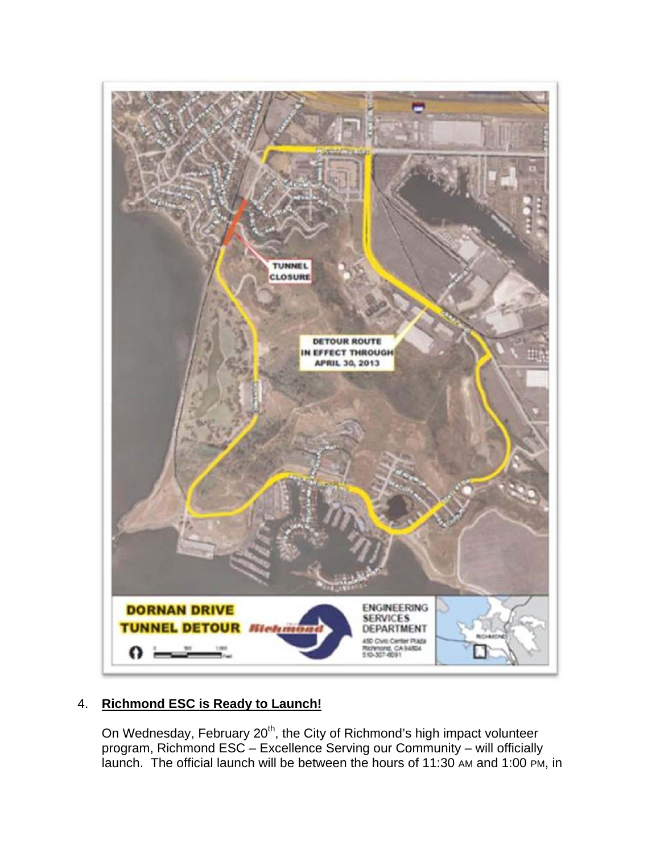

## 4. **Richmond ESC is Ready to Launch!**

On Wednesday, February 20<sup>th</sup>, the City of Richmond's high impact volunteer program, Richmond ESC – Excellence Serving our Community – will officially launch. The official launch will be between the hours of 11:30 AM and 1:00 PM, in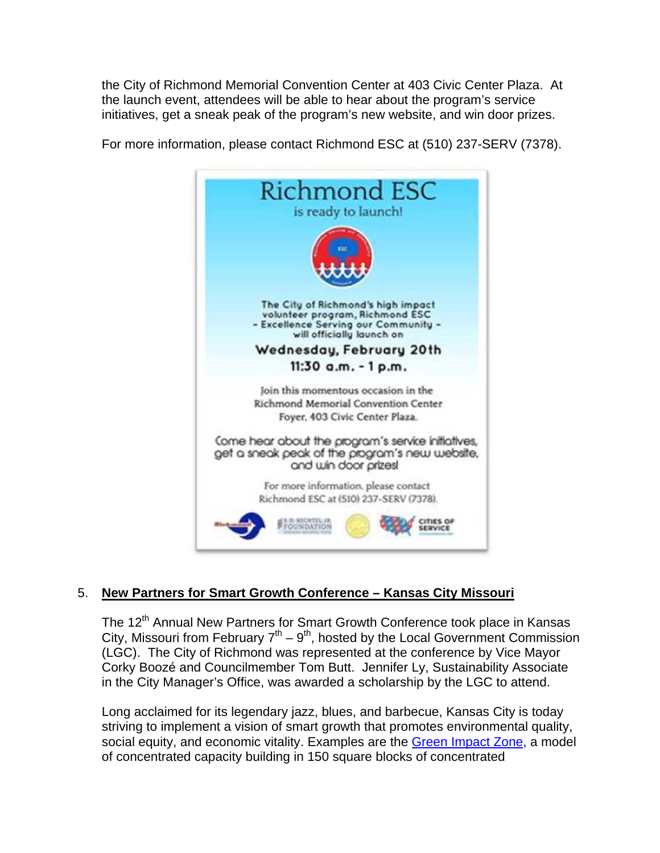the City of Richmond Memorial Convention Center at 403 Civic Center Plaza. At the launch event, attendees will be able to hear about the program's service initiatives, get a sneak peak of the program's new website, and win door prizes.



For more information, please contact Richmond ESC at (510) 237-SERV (7378).

## 5. **New Partners for Smart Growth Conference – Kansas City Missouri**

The 12<sup>th</sup> Annual New Partners for Smart Growth Conference took place in Kansas City, Missouri from February  $7<sup>th</sup> - 9<sup>th</sup>$ , hosted by the Local Government Commission (LGC). The City of Richmond was represented at the conference by Vice Mayor Corky Boozé and Councilmember Tom Butt. Jennifer Ly, Sustainability Associate in the City Manager's Office, was awarded a scholarship by the LGC to attend.

Long acclaimed for its legendary jazz, blues, and barbecue, Kansas City is today striving to implement a vision of smart growth that promotes environmental quality, social equity, and economic vitality. Examples are the Green Impact Zone, a model of concentrated capacity building in 150 square blocks of concentrated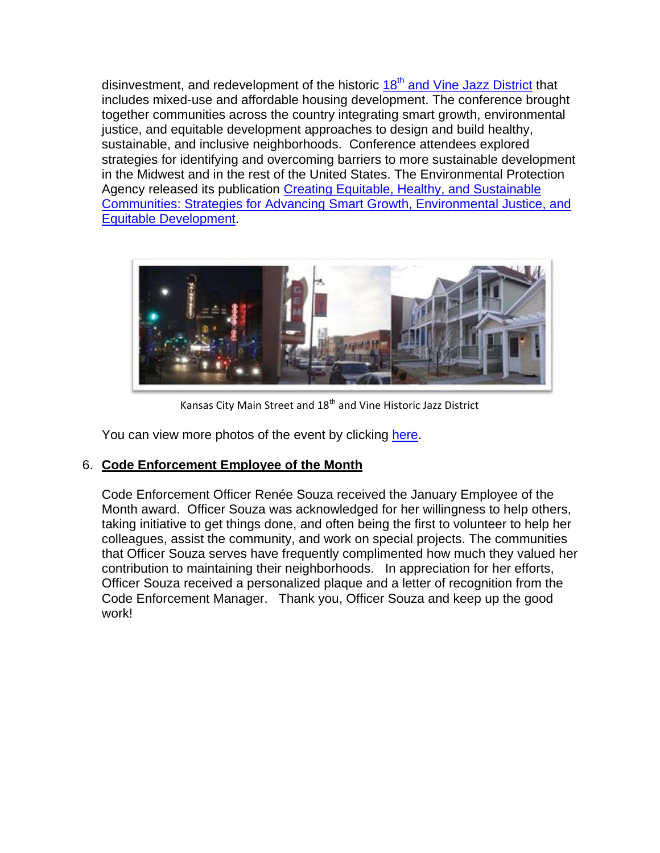disinvestment, and redevelopment of the historic  $18<sup>th</sup>$  and Vine Jazz District that includes mixed-use and affordable housing development. The conference brought together communities across the country integrating smart growth, environmental justice, and equitable development approaches to design and build healthy, sustainable, and inclusive neighborhoods. Conference attendees explored strategies for identifying and overcoming barriers to more sustainable development in the Midwest and in the rest of the United States. The Environmental Protection Agency released its publication Creating Equitable, Healthy, and Sustainable Communities: Strategies for Advancing Smart Growth, Environmental Justice, and Equitable Development.



Kansas City Main Street and 18<sup>th</sup> and Vine Historic Jazz District

You can view more photos of the event by clicking here.

## 6. **Code Enforcement Employee of the Month**

Code Enforcement Officer Renée Souza received the January Employee of the Month award. Officer Souza was acknowledged for her willingness to help others, taking initiative to get things done, and often being the first to volunteer to help her colleagues, assist the community, and work on special projects. The communities that Officer Souza serves have frequently complimented how much they valued her contribution to maintaining their neighborhoods. In appreciation for her efforts, Officer Souza received a personalized plaque and a letter of recognition from the Code Enforcement Manager. Thank you, Officer Souza and keep up the good work!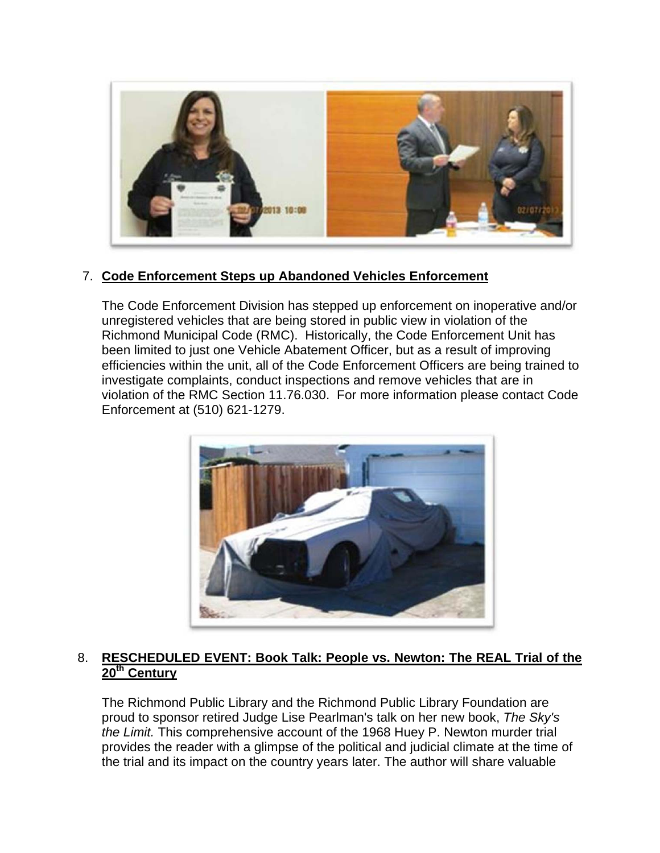

## 7. **Code Enforcement Steps up Abandoned Vehicles Enforcement**

The Code Enforcement Division has stepped up enforcement on inoperative and/or unregistered vehicles that are being stored in public view in violation of the Richmond Municipal Code (RMC). Historically, the Code Enforcement Unit has been limited to just one Vehicle Abatement Officer, but as a result of improving efficiencies within the unit, all of the Code Enforcement Officers are being trained to investigate complaints, conduct inspections and remove vehicles that are in violation of the RMC Section 11.76.030. For more information please contact Code Enforcement at (510) 621-1279.



### 8. **RESCHEDULED EVENT: Book Talk: People vs. Newton: The REAL Trial of the 20th Century**

The Richmond Public Library and the Richmond Public Library Foundation are proud to sponsor retired Judge Lise Pearlman's talk on her new book, *The Sky's the Limit.* This comprehensive account of the 1968 Huey P. Newton murder trial provides the reader with a glimpse of the political and judicial climate at the time of the trial and its impact on the country years later. The author will share valuable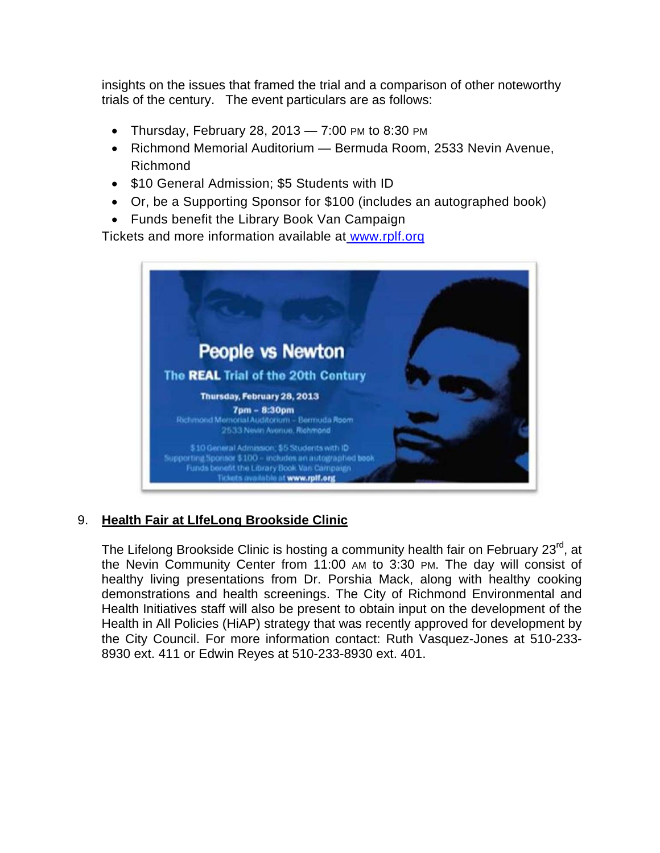insights on the issues that framed the trial and a comparison of other noteworthy trials of the century. The event particulars are as follows:

- Thursday, February 28, 2013  $-$  7:00 PM to 8:30 PM
- Richmond Memorial Auditorium Bermuda Room, 2533 Nevin Avenue, Richmond
- \$10 General Admission; \$5 Students with ID
- Or, be a Supporting Sponsor for \$100 (includes an autographed book)
- Funds benefit the Library Book Van Campaign

Tickets and more information available at www.rplf.orq



## 9. **Health Fair at LIfeLong Brookside Clinic**

The Lifelong Brookside Clinic is hosting a community health fair on February 23<sup>rd</sup>, at the Nevin Community Center from 11:00 AM to 3:30 PM. The day will consist of healthy living presentations from Dr. Porshia Mack, along with healthy cooking demonstrations and health screenings. The City of Richmond Environmental and Health Initiatives staff will also be present to obtain input on the development of the Health in All Policies (HiAP) strategy that was recently approved for development by the City Council. For more information contact: Ruth Vasquez-Jones at 510-233- 8930 ext. 411 or Edwin Reyes at 510-233-8930 ext. 401.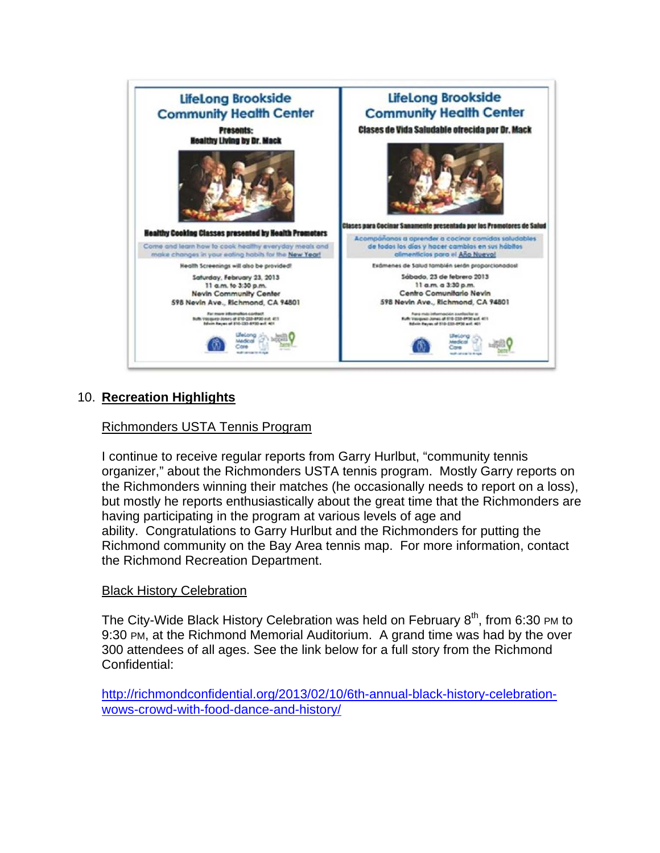

## 10. **Recreation Highlights**

#### Richmonders USTA Tennis Program

I continue to receive regular reports from Garry Hurlbut, "community tennis organizer," about the Richmonders USTA tennis program. Mostly Garry reports on the Richmonders winning their matches (he occasionally needs to report on a loss), but mostly he reports enthusiastically about the great time that the Richmonders are having participating in the program at various levels of age and ability. Congratulations to Garry Hurlbut and the Richmonders for putting the Richmond community on the Bay Area tennis map. For more information, contact the Richmond Recreation Department.

#### Black History Celebration

The City-Wide Black History Celebration was held on February  $8<sup>th</sup>$ , from 6:30 PM to 9:30 PM, at the Richmond Memorial Auditorium. A grand time was had by the over 300 attendees of all ages. See the link below for a full story from the Richmond Confidential:

http://richmondconfidential.org/2013/02/10/6th-annual-black-history-celebrationwows-crowd-with-food-dance-and-history/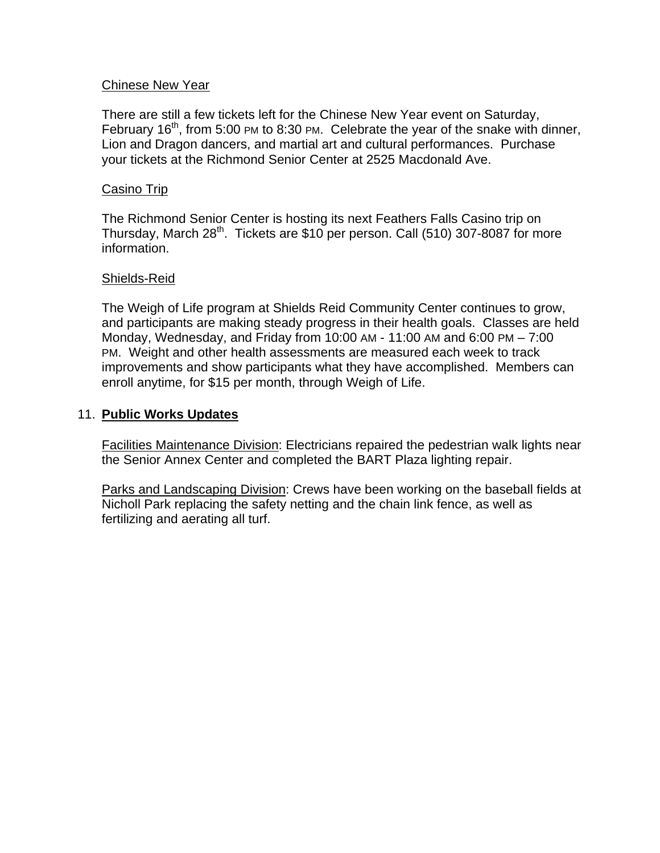#### Chinese New Year

There are still a few tickets left for the Chinese New Year event on Saturday, February  $16<sup>th</sup>$ , from 5:00 PM to 8:30 PM. Celebrate the year of the snake with dinner, Lion and Dragon dancers, and martial art and cultural performances. Purchase your tickets at the Richmond Senior Center at 2525 Macdonald Ave.

#### Casino Trip

The Richmond Senior Center is hosting its next Feathers Falls Casino trip on Thursday, March 28<sup>th</sup>. Tickets are \$10 per person. Call (510) 307-8087 for more information.

#### Shields-Reid

The Weigh of Life program at Shields Reid Community Center continues to grow, and participants are making steady progress in their health goals. Classes are held Monday, Wednesday, and Friday from 10:00 AM - 11:00 AM and 6:00 PM – 7:00 PM. Weight and other health assessments are measured each week to track improvements and show participants what they have accomplished. Members can enroll anytime, for \$15 per month, through Weigh of Life.

#### 11. **Public Works Updates**

Facilities Maintenance Division: Electricians repaired the pedestrian walk lights near the Senior Annex Center and completed the BART Plaza lighting repair.

Parks and Landscaping Division: Crews have been working on the baseball fields at Nicholl Park replacing the safety netting and the chain link fence, as well as fertilizing and aerating all turf.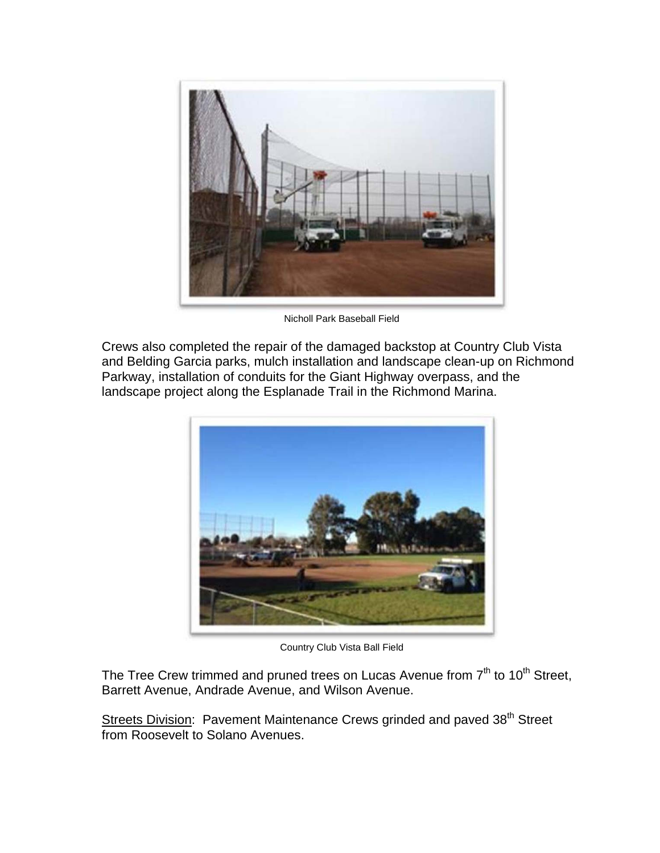

Nicholl Park Baseball Field

Crews also completed the repair of the damaged backstop at Country Club Vista and Belding Garcia parks, mulch installation and landscape clean-up on Richmond Parkway, installation of conduits for the Giant Highway overpass, and the landscape project along the Esplanade Trail in the Richmond Marina.



Country Club Vista Ball Field

The Tree Crew trimmed and pruned trees on Lucas Avenue from  $7<sup>th</sup>$  to  $10<sup>th</sup>$  Street, Barrett Avenue, Andrade Avenue, and Wilson Avenue.

Streets Division: Pavement Maintenance Crews grinded and paved 38<sup>th</sup> Street from Roosevelt to Solano Avenues.